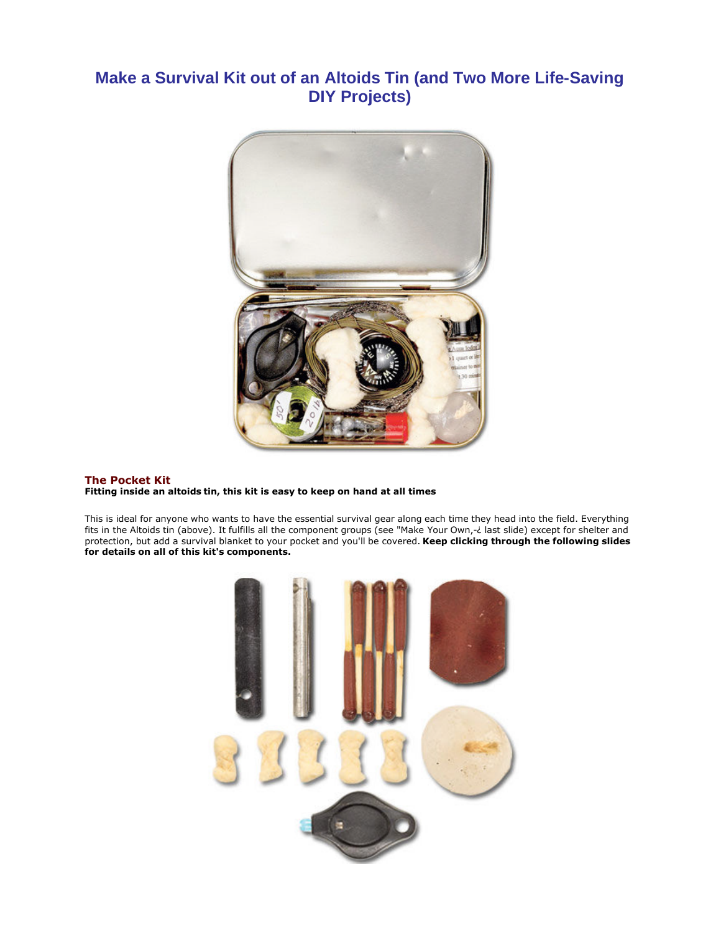# **Make a Survival Kit out of an Altoids Tin (and Two More Life-Saving DIY Projects)**



# **The Pocket Kit Fitting inside an altoids tin, this kit is easy to keep on hand at all times**

This is ideal for anyone who wants to have the essential survival gear along each time they head into the field. Everything fits in the Altoids tin (above). It fulfills all the component groups (see "Make Your Own,-¿ last slide) except for shelter and protection, but add a survival blanket to your pocket and you'll be covered. **Keep clicking through the following slides for details on all of this kit's components.**

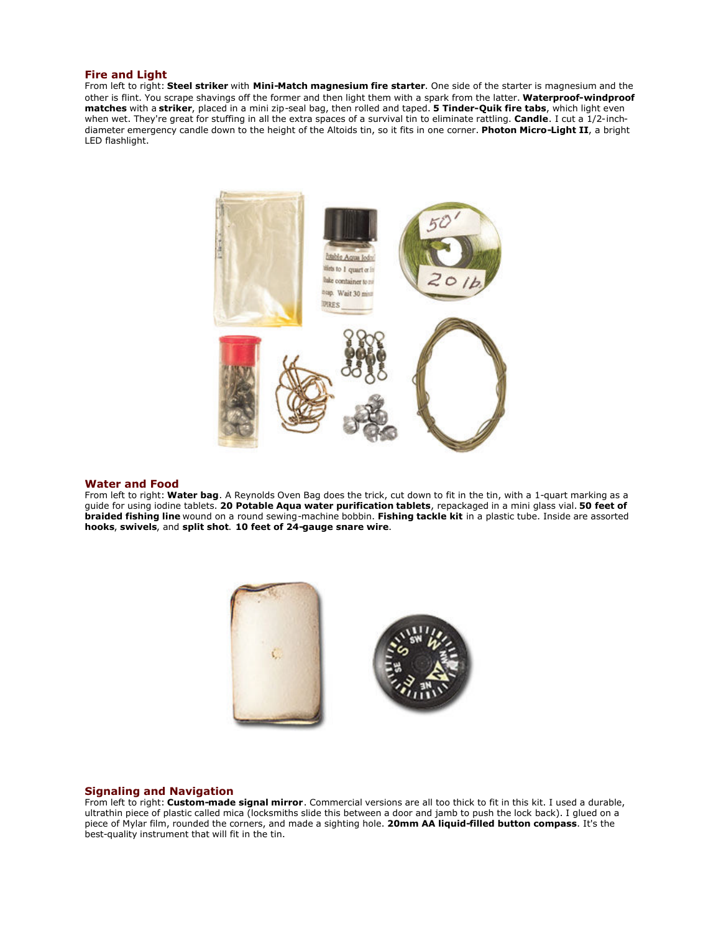#### **Fire and Light**

From left to right: **Steel striker** with **Mini-Match magnesium fire starter**. One side of the starter is magnesium and the other is flint. You scrape shavings off the former and then light them with a spark from the latter. **Waterproof-windproof matches** with a **striker**, placed in a mini zip-seal bag, then rolled and taped. **5 Tinder-Quik fire tabs**, which light even when wet. They're great for stuffing in all the extra spaces of a survival tin to eliminate rattling. **Candle**. I cut a 1/2-inchdiameter emergency candle down to the height of the Altoids tin, so it fits in one corner. **Photon Micro-Light II**, a bright LED flashlight.



#### **Water and Food**

From left to right: **Water bag**. A Reynolds Oven Bag does the trick, cut down to fit in the tin, with a 1-quart marking as a guide for using iodine tablets. **20 Potable Aqua water purification tablets**, repackaged in a mini glass vial. **50 feet of braided fishing line** wound on a round sewing-machine bobbin. **Fishing tackle kit** in a plastic tube. Inside are assorted **hooks**, **swivels**, and **split shot**. **10 feet of 24-gauge snare wire**.



#### **Signaling and Navigation**

From left to right: **Custom-made signal mirror**. Commercial versions are all too thick to fit in this kit. I used a durable, ultrathin piece of plastic called mica (locksmiths slide this between a door and jamb to push the lock back). I glued on a piece of Mylar film, rounded the corners, and made a sighting hole. **20mm AA liquid-filled button compass**. It's the best-quality instrument that will fit in the tin.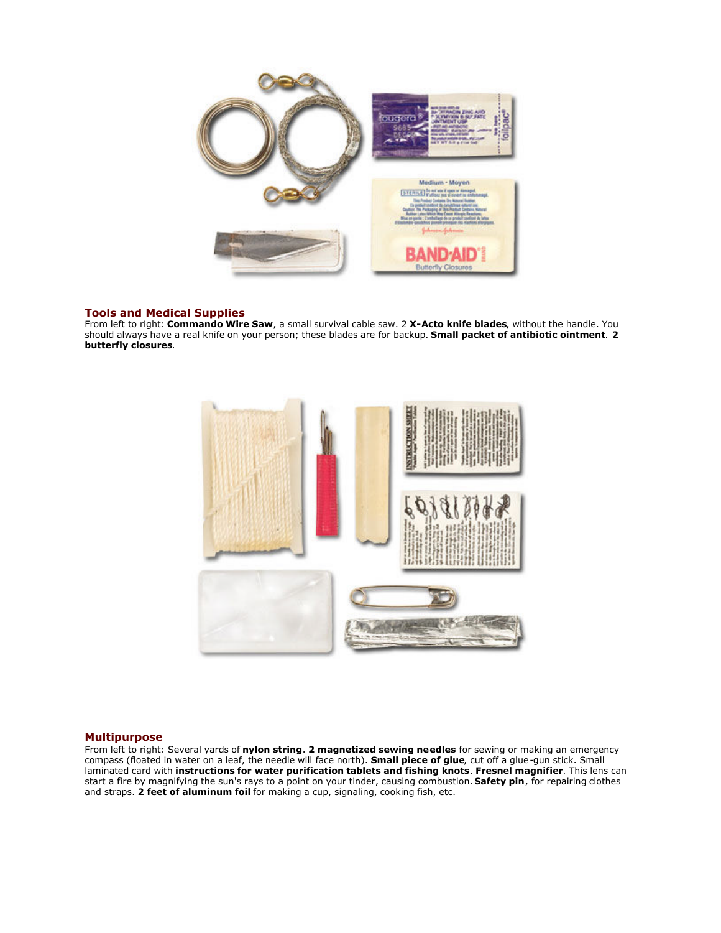

## **Tools and Medical Supplies**

From left to right: **Commando Wire Saw**, a small survival cable saw. 2 **X-Acto knife blades**, without the handle. You should always have a real knife on your person; these blades are for backup. **Small packet of antibiotic ointment**. **2 butterfly closures**.



## **Multipurpose**

From left to right: Several yards of **nylon string**. **2 magnetized sewing needles** for sewing or making an emergency compass (floated in water on a leaf, the needle will face north). **Small piece of glue**, cut off a glue-gun stick. Small laminated card with **instructions for water purification tablets and fishing knots**. **Fresnel magnifier**. This lens can start a fire by magnifying the sun's rays to a point on your tinder, causing combustion. **Safety pin**, for repairing clothes and straps. **2 feet of aluminum foil** for making a cup, signaling, cooking fish, etc.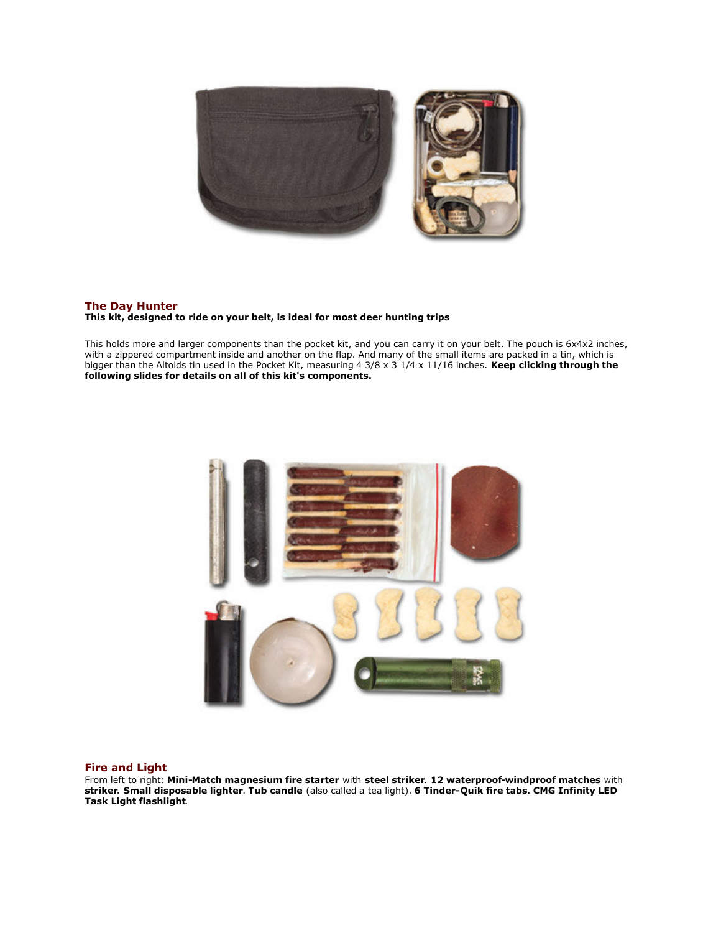

# **The Day Hunter**

**This kit, designed to ride on your belt, is ideal for most deer hunting trips**

This holds more and larger components than the pocket kit, and you can carry it on your belt. The pouch is 6x4x2 inches, with a zippered compartment inside and another on the flap. And many of the small items are packed in a tin, which is bigger than the Altoids tin used in the Pocket Kit, measuring 4 3/8 x 3 1/4 x 11/16 inches. **Keep clicking through the following slides for details on all of this kit's components.**



#### **Fire and Light**

From left to right: **Mini-Match magnesium fire starter** with **steel striker**. **12 waterproof-windproof matches** with **striker**. **Small disposable lighter**. **Tub candle** (also called a tea light). **6 Tinder-Quik fire tabs**. **CMG Infinity LED Task Light flashlight**.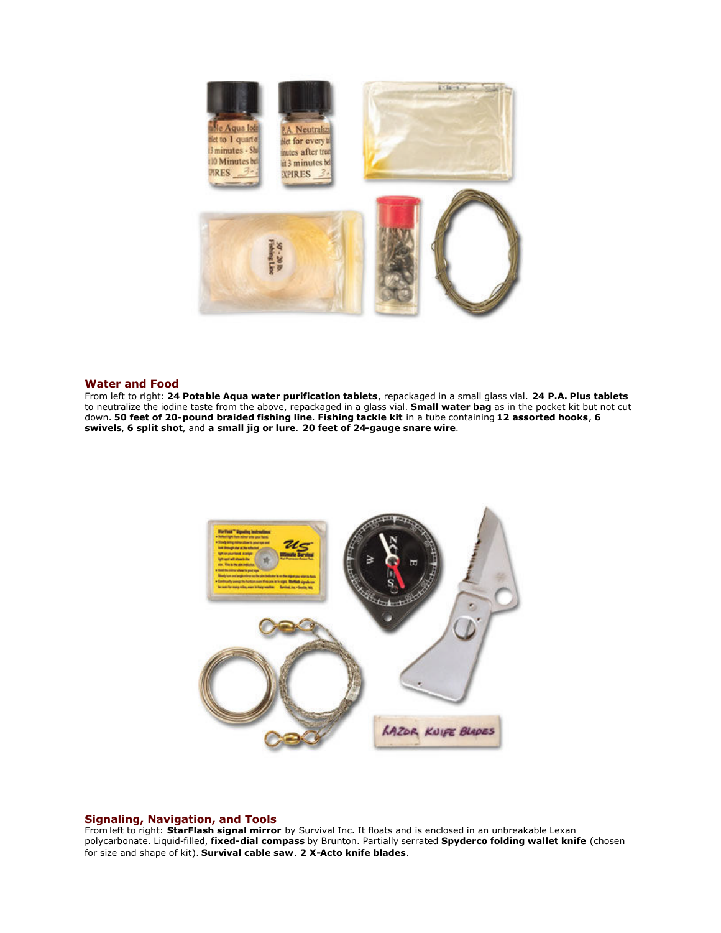

#### **Water and Food**

From left to right: **24 Potable Aqua water purification tablets**, repackaged in a small glass vial. **24 P.A. Plus tablets** to neutralize the iodine taste from the above, repackaged in a glass vial. **Small water bag** as in the pocket kit but not cut down. **50 feet of 20-pound braided fishing line**. **Fishing tackle kit** in a tube containing **12 assorted hooks**, **6 swivels**, **6 split shot**, and **a small jig or lure**. **20 feet of 24-gauge snare wire**.



#### **Signaling, Navigation, and Tools**

From left to right: **StarFlash signal mirror** by Survival Inc. It floats and is enclosed in an unbreakable Lexan polycarbonate. Liquid-filled, **fixed-dial compass** by Brunton. Partially serrated **Spyderco folding wallet knife** (chosen for size and shape of kit). **Survival cable saw**. **2 X-Acto knife blades**.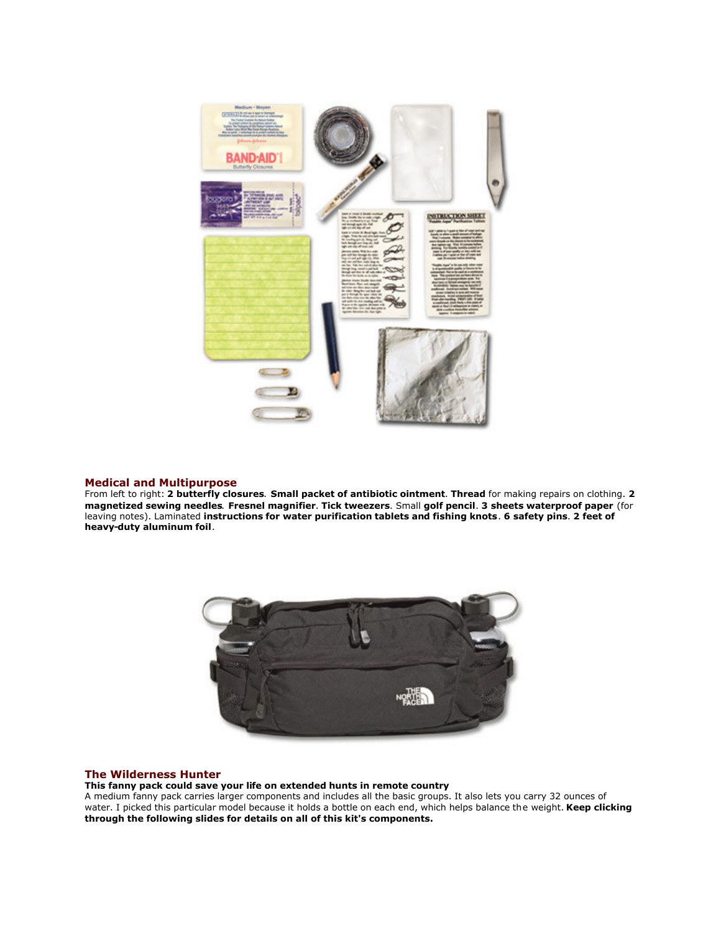

# **Medical and Multipurpose**

From left to right: **2 butterfly closures**. **Small packet of antibiotic ointment**. **Thread** for making repairs on clothing. **2 magnetized sewing needles**. **Fresnel magnifier**. **Tick tweezers**. Small **golf pencil**. **3 sheets waterproof paper** (for leaving notes). Laminated **instructions for water purification tablets and fishing knots**. **6 safety pins**. **2 feet of heavy-duty aluminum foil**.



#### **The Wilderness Hunter**

**This fanny pack could save your life on extended hunts in remote country**

A medium fanny pack carries larger components and includes all the basic groups. It also lets you carry 32 ounces of water. I picked this particular model because it holds a bottle on each end, which helps balance the weight. **Keep clicking through the following slides for details on all of this kit's components.**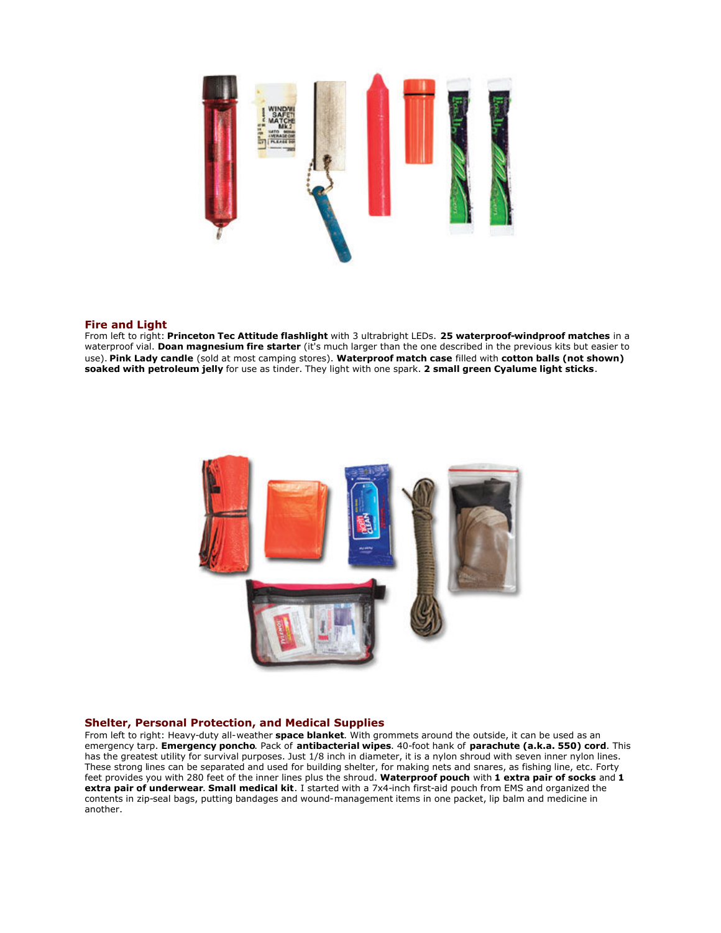

# **Fire and Light**

From left to right: **Princeton Tec Attitude flashlight** with 3 ultrabright LEDs. **25 waterproof-windproof matches** in a waterproof vial. **Doan magnesium fire starter** (it's much larger than the one described in the previous kits but easier to use). **Pink Lady candle** (sold at most camping stores). **Waterproof match case** filled with **cotton balls (not shown) soaked with petroleum jelly** for use as tinder. They light with one spark. **2 small green Cyalume light sticks**.



#### **Shelter, Personal Protection, and Medical Supplies**

From left to right: Heavy-duty all-weather **space blanket**. With grommets around the outside, it can be used as an emergency tarp. **Emergency poncho**. Pack of **antibacterial wipes**. 40-foot hank of **parachute (a.k.a. 550) cord**. This has the greatest utility for survival purposes. Just 1/8 inch in diameter, it is a nylon shroud with seven inner nylon lines. These strong lines can be separated and used for building shelter, for making nets and snares, as fishing line, etc. Forty feet provides you with 280 feet of the inner lines plus the shroud. **Waterproof pouch** with **1 extra pair of socks** and **1 extra pair of underwear**. **Small medical kit**. I started with a 7x4-inch first-aid pouch from EMS and organized the contents in zip-seal bags, putting bandages and wound-management items in one packet, lip balm and medicine in another.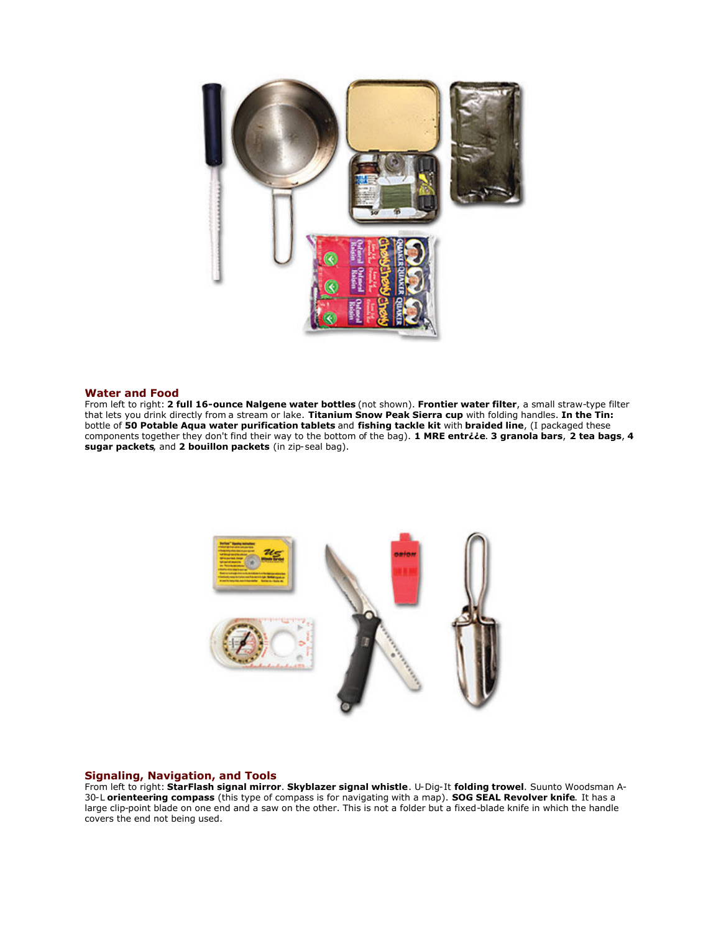

#### **Water and Food**

From left to right: **2 full 16-ounce Nalgene water bottles** (not shown). **Frontier water filter**, a small straw-type filter that lets you drink directly from a stream or lake. **Titanium Snow Peak Sierra cup** with folding handles. **In the Tin:** bottle of **50 Potable Aqua water purification tablets** and **fishing tackle kit** with **braided line**, (I packaged these components together they don't find their way to the bottom of the bag). **1 MRE entr¿¿e**. **3 granola bars**, **2 tea bags**, **4 sugar packets**, and **2 bouillon packets** (in zip-seal bag).



## **Signaling, Navigation, and Tools**

From left to right: **StarFlash signal mirror**. **Skyblazer signal whistle**. U-Dig-It **folding trowel**. Suunto Woodsman A-30-L **orienteering compass** (this type of compass is for navigating with a map). **SOG SEAL Revolver knife**. It has a large clip-point blade on one end and a saw on the other. This is not a folder but a fixed-blade knife in which the handle covers the end not being used.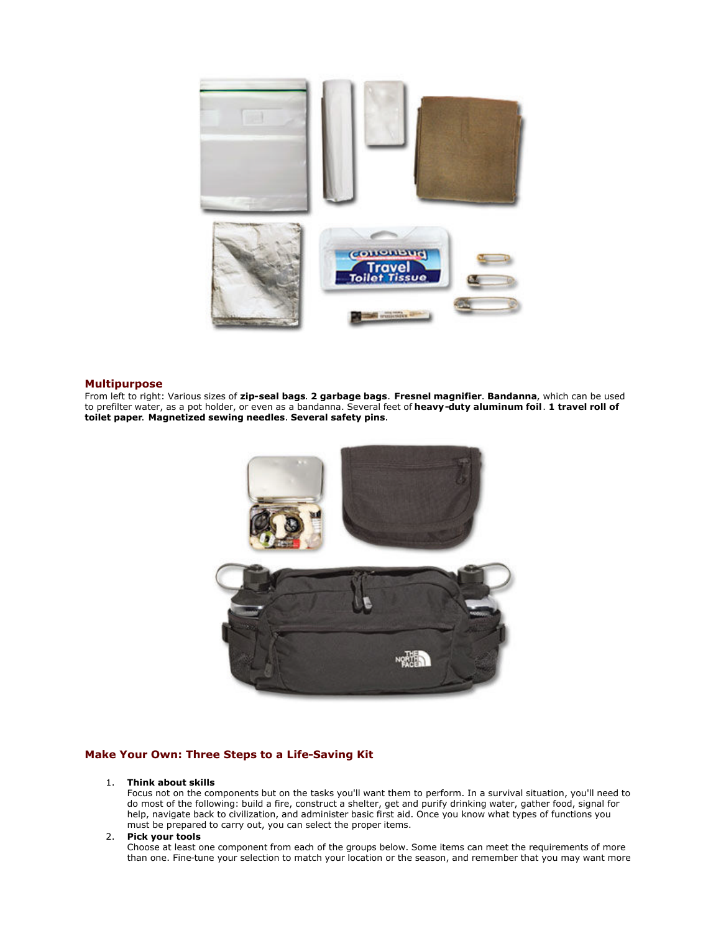

## **Multipurpose**

From left to right: Various sizes of **zip-seal bags**. **2 garbage bags**. **Fresnel magnifier**. **Bandanna**, which can be used to prefilter water, as a pot holder, or even as a bandanna. Several feet of **heavy-duty aluminum foil**. **1 travel roll of toilet paper**. **Magnetized sewing needles**. **Several safety pins**.



# **Make Your Own: Three Steps to a Life-Saving Kit**

## 1. **Think about skills**

Focus not on the components but on the tasks you'll want them to perform. In a survival situation, you'll need to do most of the following: build a fire, construct a shelter, get and purify drinking water, gather food, signal for help, navigate back to civilization, and administer basic first aid. Once you know what types of functions you must be prepared to carry out, you can select the proper items.

#### 2. **Pick your tools**

Choose at least one component from each of the groups below. Some items can meet the requirements of more than one. Fine-tune your selection to match your location or the season, and remember that you may want more